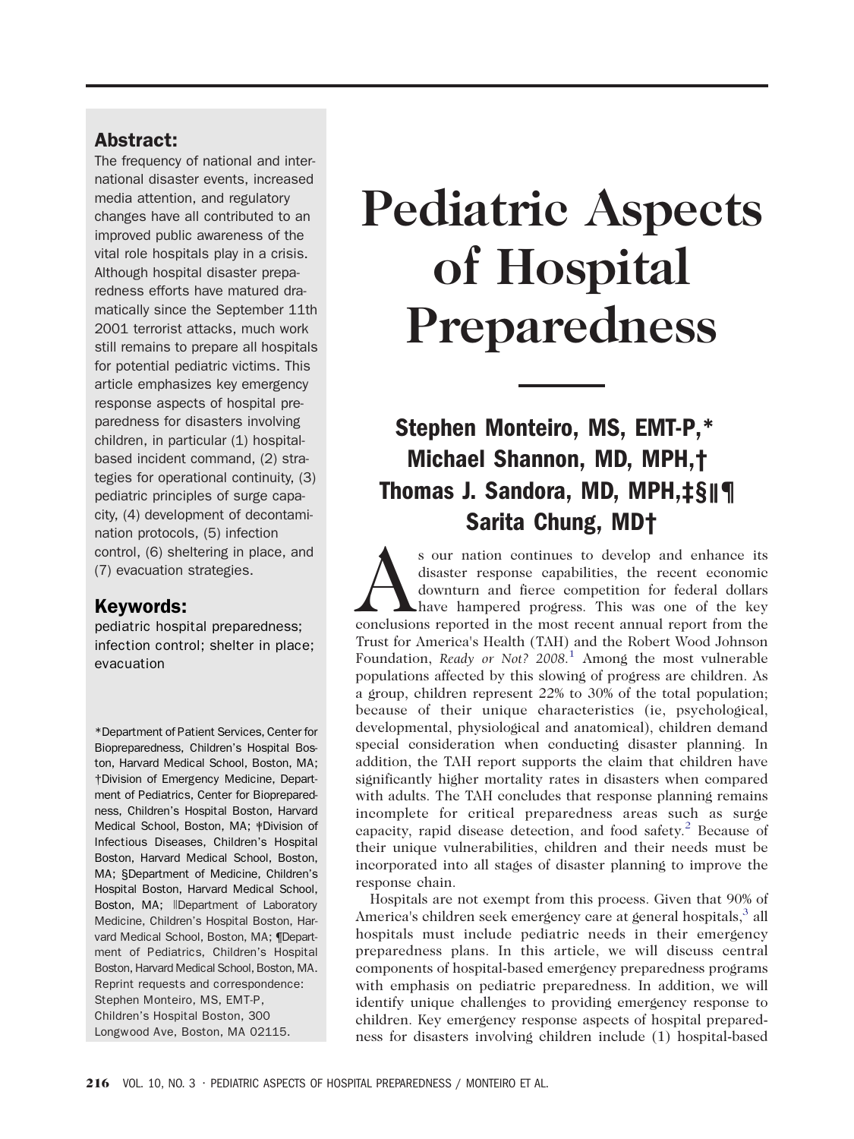# Abstract:

The frequency of national and international disaster events, increased media attention, and regulatory changes have all contributed to an improved public awareness of the vital role hospitals play in a crisis. Although hospital disaster preparedness efforts have matured dramatically since the September 11th 2001 terrorist attacks, much work still remains to prepare all hospitals for potential pediatric victims. This article emphasizes key emergency response aspects of hospital preparedness for disasters involving children, in particular (1) hospitalbased incident command, (2) strategies for operational continuity, (3) pediatric principles of surge capacity, (4) development of decontamination protocols, (5) infection control, (6) sheltering in place, and (7) evacuation strategies.

## Keywords:

pediatric hospital preparedness; infection control; shelter in place; evacuation

\*Department of Patient Services, Center for Biopreparedness, Children's Hospital Boston, Harvard Medical School, Boston, MA; †Division of Emergency Medicine, Department of Pediatrics, Center for Biopreparedness, Children's Hospital Boston, Harvard Medical School, Boston, MA; ‡Division of Infectious Diseases, Children's Hospital Boston, Harvard Medical School, Boston, MA; §Department of Medicine, Children's Hospital Boston, Harvard Medical School, Boston, MA; *IIDepartment* of Laboratory Medicine, Children's Hospital Boston, Harvard Medical School, Boston, MA; ¶Department of Pediatrics, Children's Hospital Boston, Harvard Medical School, Boston, MA. Reprint requests and correspondence: Stephen Monteiro, MS, EMT-P, Children's Hospital Boston, 300 Longwood Ave, Boston, MA 02115.

# Pediatric Aspects of Hospital Preparedness

Stephen Monteiro, MS, EMT-P,\* Michael Shannon, MD, MPH,† Thomas J. Sandora, MD, MPH, $\pm \S \parallel \P$ Sarita Chung, MD†

s our nation continues to develop and enhance its<br>disaster response capabilities, the recent economic<br>downturn and fierce competition for federal dollars<br>conclusions reported in the most recent annual report from the<br>the w disaster response capabilities, the recent economic downturn and fierce competition for federal dollars have hampered progress. This was one of the key Trust for America's Health (TAH) and the Robert Wood Johnson Foundation, Ready or Not? 2008[.](#page-11-0)<sup>[1](#page-11-0)</sup> Among the most vulnerable populations affected by this slowing of progress are children. As a group, children represent 22% to 30% of the total population; because of their unique characteristics (ie, psychological, developmental, physiological and anatomical), children demand special consideration when conducting disaster planning. In addition, the TAH report supports the claim that children have significantly higher mortality rates in disasters when compared with adults. The TAH concludes that response planning remains incomplete for critical preparedness areas such as surge capacity, rapid disease detection, and food safety.<sup>[2](#page-11-0)</sup> Because of their unique vulnerabilities, children and their needs must be incorporated into all stages of disaster planning to improve the response chain.

Hospitals are not exempt from this process. Given that 90% of America's children seek emergency care at general hospitals[,](#page-11-0)<sup>[3](#page-11-0)</sup> all hospitals must include pediatric needs in their emergency preparedness plans. In this article, we will discuss central components of hospital-based emergency preparedness programs with emphasis on pediatric preparedness. In addition, we will identify unique challenges to providing emergency response to children. Key emergency response aspects of hospital preparedness for disasters involving children include (1) hospital-based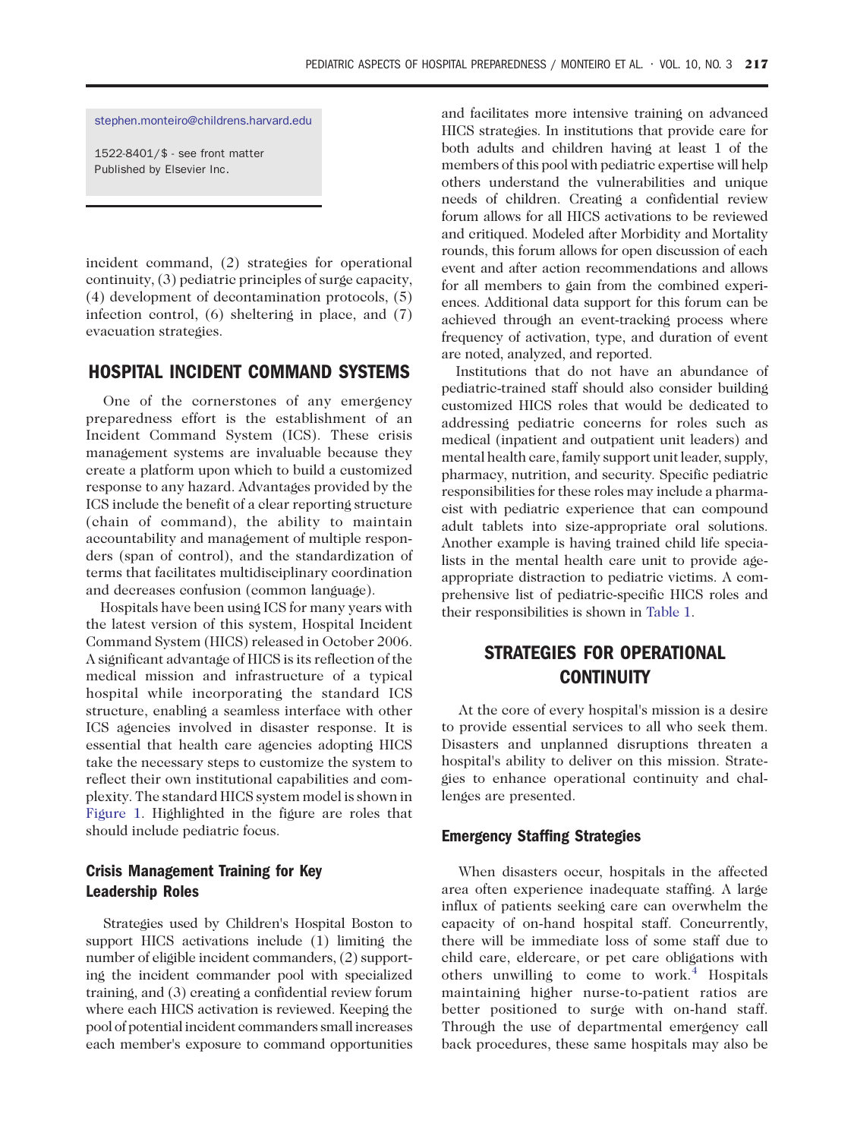[stephen.monteiro@childrens.harvard.edu](mailto:stephen.monteiro@childrens.harvard.edu)

1522-8401/\$ - see front matter Published by Elsevier Inc.

incident command, (2) strategies for operational continuity, (3) pediatric principles of surge capacity, (4) development of decontamination protocols, (5) infection control, (6) sheltering in place, and (7) evacuation strategies.

## HOSPITAL INCIDENT COMMAND SYSTEMS

One of the cornerstones of any emergency preparedness effort is the establishment of an Incident Command System (ICS). These crisis management systems are invaluable because they create a platform upon which to build a customized response to any hazard. Advantages provided by the ICS include the benefit of a clear reporting structure (chain of command), the ability to maintain accountability and management of multiple responders (span of control), and the standardization of terms that facilitates multidisciplinary coordination and decreases confusion (common language).

Hospitals have been using ICS for many years with the latest version of this system, Hospital Incident Command System (HICS) released in October 2006. A significant advantage of HICS is its reflection of the medical mission and infrastructure of a typical hospital while incorporating the standard ICS structure, enabling a seamless interface with other ICS agencies involved in disaster response. It is essential that health care agencies adopting HICS take the necessary steps to customize the system to reflect their own institutional capabilities and complexity. The standard HICS system model is shown in [Figure 1](#page-2-0). Highlighted in the figure are roles that should include pediatric focus.

## Crisis Management Training for Key Leadership Roles

Strategies used by Children's Hospital Boston to support HICS activations include (1) limiting the number of eligible incident commanders, (2) supporting the incident commander pool with specialized training, and (3) creating a confidential review forum where each HICS activation is reviewed. Keeping the pool of potential incident commanders small increases each member's exposure to command opportunities

and facilitates more intensive training on advanced HICS strategies. In institutions that provide care for both adults and children having at least 1 of the members of this pool with pediatric expertise will help others understand the vulnerabilities and unique needs of children. Creating a confidential review forum allows for all HICS activations to be reviewed and critiqued. Modeled after Morbidity and Mortality rounds, this forum allows for open discussion of each event and after action recommendations and allows for all members to gain from the combined experiences. Additional data support for this forum can be achieved through an event-tracking process where frequency of activation, type, and duration of event are noted, analyzed, and reported.

Institutions that do not have an abundance of pediatric-trained staff should also consider building customized HICS roles that would be dedicated to addressing pediatric concerns for roles such as medical (inpatient and outpatient unit leaders) and mental health care, family support unit leader, supply, pharmacy, nutrition, and security. Specific pediatric responsibilities for these roles may include a pharmacist with pediatric experience that can compound adult tablets into size-appropriate oral solutions. Another example is having trained child life specialists in the mental health care unit to provide ageappropriate distraction to pediatric victims. A comprehensive list of pediatric-specific HICS roles and their responsibilities is shown in [Table 1.](#page-3-0)

# STRATEGIES FOR OPERATIONAL **CONTINUITY**

At the core of every hospital's mission is a desire to provide essential services to all who seek them. Disasters and unplanned disruptions threaten a hospital's ability to deliver on this mission. Strategies to enhance operational continuity and challenges are presented.

#### Emergency Staffing Strategies

When disasters occur, hospitals in the affected area often experience inadequate staffing. A large influx of patients seeking care can overwhelm the capacity of on-hand hospital staff. Concurrently, there will be immediate loss of some staff due to child care, eldercare, or pet care obligations with others unwilling to come to work.<sup>[4](#page-11-0)</sup> Hospitals maintaining higher nurse-to-patient ratios are better positioned to surge with on-hand staff. Through the use of departmental emergency call back procedures, these same hospitals may also be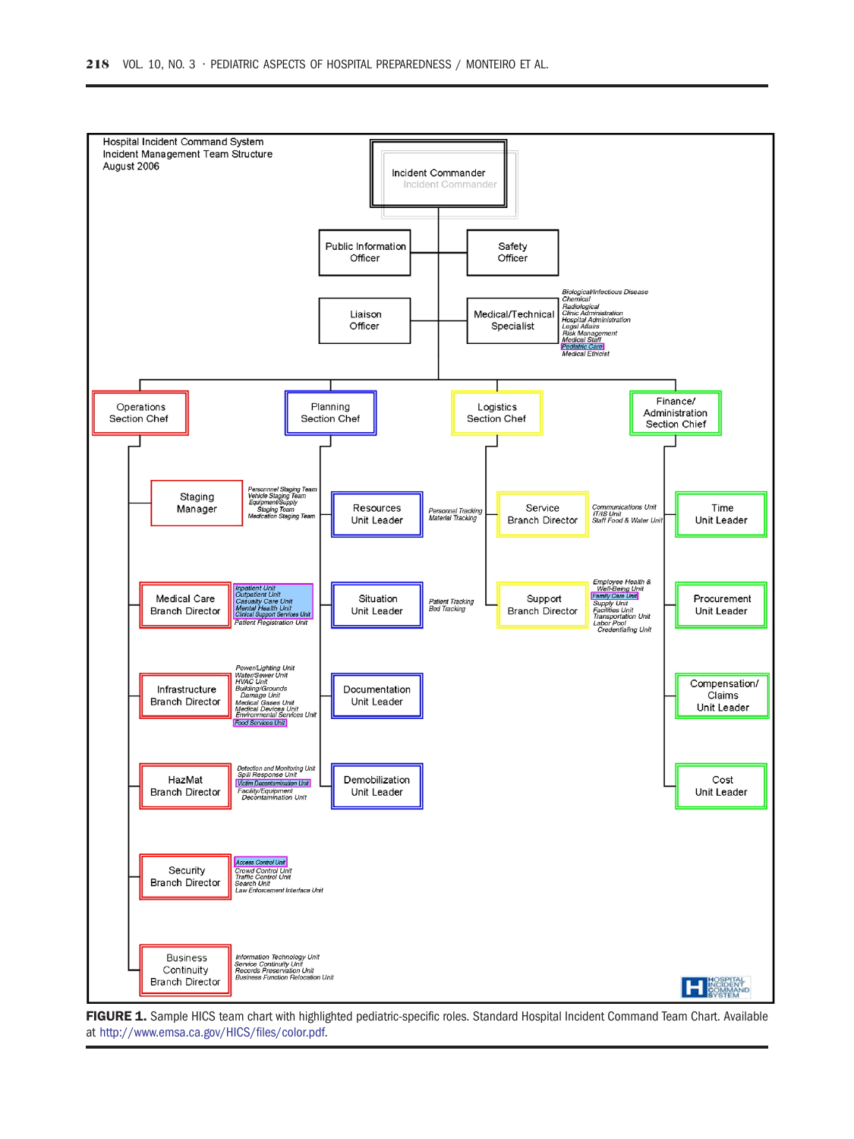<span id="page-2-0"></span>

FIGURE 1. Sample HICS team chart with highlighted pediatric-specific roles. Standard Hospital Incident Command Team Chart. Available at [http://www.emsa.ca.gov/HICS/files/color.pdf.](http://www.emsa.ca.gov/HICS/files/color.pdf)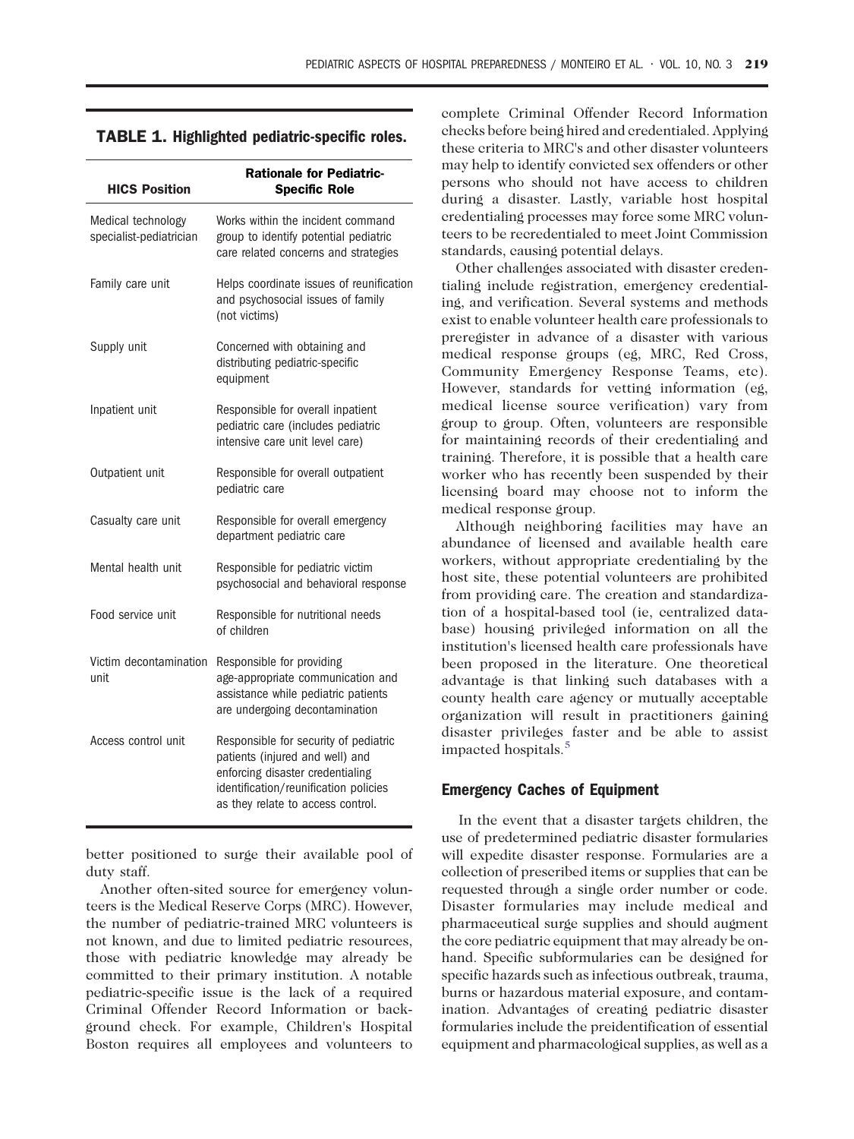<span id="page-3-0"></span>

| <b>TABLE 1. Highlighted pediatric-specific roles.</b> |  |  |  |  |  |
|-------------------------------------------------------|--|--|--|--|--|
|-------------------------------------------------------|--|--|--|--|--|

| <b>HICS Position</b>                          | <b>Rationale for Pediatric-</b><br><b>Specific Role</b>                                                                                                                                    |
|-----------------------------------------------|--------------------------------------------------------------------------------------------------------------------------------------------------------------------------------------------|
| Medical technology<br>specialist-pediatrician | Works within the incident command<br>group to identify potential pediatric<br>care related concerns and strategies                                                                         |
| Family care unit                              | Helps coordinate issues of reunification<br>and psychosocial issues of family<br>(not victims)                                                                                             |
| Supply unit                                   | Concerned with obtaining and<br>distributing pediatric-specific<br>equipment                                                                                                               |
| Inpatient unit                                | Responsible for overall inpatient<br>pediatric care (includes pediatric<br>intensive care unit level care)                                                                                 |
| Outpatient unit                               | Responsible for overall outpatient<br>pediatric care                                                                                                                                       |
| Casualty care unit                            | Responsible for overall emergency<br>department pediatric care                                                                                                                             |
| Mental health unit                            | Responsible for pediatric victim<br>psychosocial and behavioral response                                                                                                                   |
| Food service unit                             | Responsible for nutritional needs<br>of children                                                                                                                                           |
| Victim decontamination<br>unit                | Responsible for providing<br>age-appropriate communication and<br>assistance while pediatric patients<br>are undergoing decontamination                                                    |
| Access control unit                           | Responsible for security of pediatric<br>patients (injured and well) and<br>enforcing disaster credentialing<br>identification/reunification policies<br>as they relate to access control. |

better positioned to surge their available pool of duty staff.

Another often-sited source for emergency volunteers is the Medical Reserve Corps (MRC). However, the number of pediatric-trained MRC volunteers is not known, and due to limited pediatric resources, those with pediatric knowledge may already be committed to their primary institution. A notable pediatric-specific issue is the lack of a required Criminal Offender Record Information or background check. For example, Children's Hospital Boston requires all employees and volunteers to

complete Criminal Offender Record Information checks before being hired and credentialed. Applying these criteria to MRC's and other disaster volunteers may help to identify convicted sex offenders or other persons who should not have access to children during a disaster. Lastly, variable host hospital credentialing processes may force some MRC volunteers to be recredentialed to meet Joint Commission standards, causing potential delays.

Other challenges associated with disaster credentialing include registration, emergency credentialing, and verification. Several systems and methods exist to enable volunteer health care professionals to preregister in advance of a disaster with various medical response groups (eg, MRC, Red Cross, Community Emergency Response Teams, etc). However, standards for vetting information (eg, medical license source verification) vary from group to group. Often, volunteers are responsible for maintaining records of their credentialing and training. Therefore, it is possible that a health care worker who has recently been suspended by their licensing board may choose not to inform the medical response group.

Although neighboring facilities may have an abundance of licensed and available health care workers, without appropriate credentialing by the host site, these potential volunteers are prohibited from providing care. The creation and standardization of a hospital-based tool (ie, centralized database) housing privileged information on all the institution's licensed health care professionals have been proposed in the literature. One theoretical advantage is that linking such databases with a county health care agency or mutually acceptable organization will result in practitioners gaining disaster privileges faster and be able to assist impacted hospitals[.](#page-11-0)<sup>[5](#page-11-0)</sup>

## Emergency Caches of Equipment

In the event that a disaster targets children, the use of predetermined pediatric disaster formularies will expedite disaster response. Formularies are a collection of prescribed items or supplies that can be requested through a single order number or code. Disaster formularies may include medical and pharmaceutical surge supplies and should augment the core pediatric equipment that may already be onhand. Specific subformularies can be designed for specific hazards such as infectious outbreak, trauma, burns or hazardous material exposure, and contamination. Advantages of creating pediatric disaster formularies include the preidentification of essential equipment and pharmacological supplies, as well as a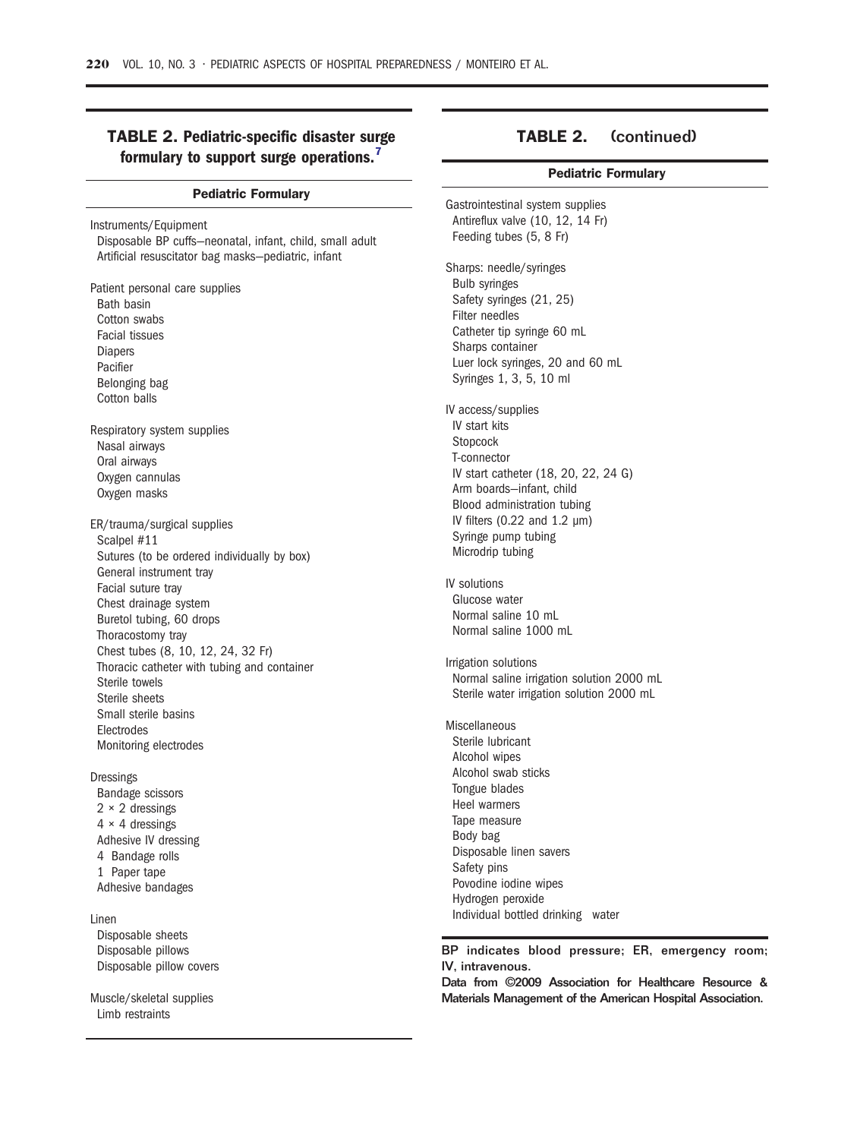## <span id="page-4-0"></span>TABLE 2. Pediatric-specific disaster surge formulary to support surge operations[.](#page-11-0)

#### Pediatric Formulary

Instruments/Equipment Disposable BP cuffs—neonatal, infant, child, small adult Artificial resuscitator bag masks—pediatric, infant

Patient personal care supplies Bath basin Cotton swabs Facial tissues Diapers Pacifier Belonging bag Cotton balls

Respiratory system supplies Nasal airways Oral airways Oxygen cannulas Oxygen masks

ER/trauma/surgical supplies Scalpel #11 Sutures (to be ordered individually by box) General instrument tray Facial suture tray Chest drainage system Buretol tubing, 60 drops Thoracostomy tray Chest tubes (8, 10, 12, 24, 32 Fr) Thoracic catheter with tubing and container Sterile towels Sterile sheets Small sterile basins Electrodes Monitoring electrodes

Dressings Bandage scissors  $2 \times 2$  dressings  $4 \times 4$  dressings Adhesive IV dressing 4 Bandage rolls 1 Paper tape Adhesive bandages

Linen Disposable sheets Disposable pillows Disposable pillow covers

Muscle/skeletal supplies Limb restraints

## TABLE 2. (continued)

#### Pediatric Formulary

Gastrointestinal system supplies Antireflux valve (10, 12, 14 Fr) Feeding tubes (5, 8 Fr)

Sharps: needle/syringes Bulb syringes Safety syringes (21, 25) Filter needles Catheter tip syringe 60 mL Sharps container Luer lock syringes, 20 and 60 mL Syringes 1, 3, 5, 10 ml

IV access/supplies IV start kits Stopcock T-connector IV start catheter (18, 20, 22, 24 G) Arm boards—infant, child Blood administration tubing IV filters (0.22 and 1.2 μm) Syringe pump tubing Microdrip tubing

IV solutions Glucose water Normal saline 10 mL Normal saline 1000 mL

Irrigation solutions Normal saline irrigation solution 2000 mL Sterile water irrigation solution 2000 mL

Miscellaneous Sterile lubricant Alcohol wipes Alcohol swab sticks Tongue blades Heel warmers Tape measure Body bag Disposable linen savers Safety pins Povodine iodine wipes Hydrogen peroxide Individual bottled drinking water

BP indicates blood pressure; ER, emergency room; IV, intravenous.

Materiale Management of the American Hoenital Association Materials Management of the American Hospital Association.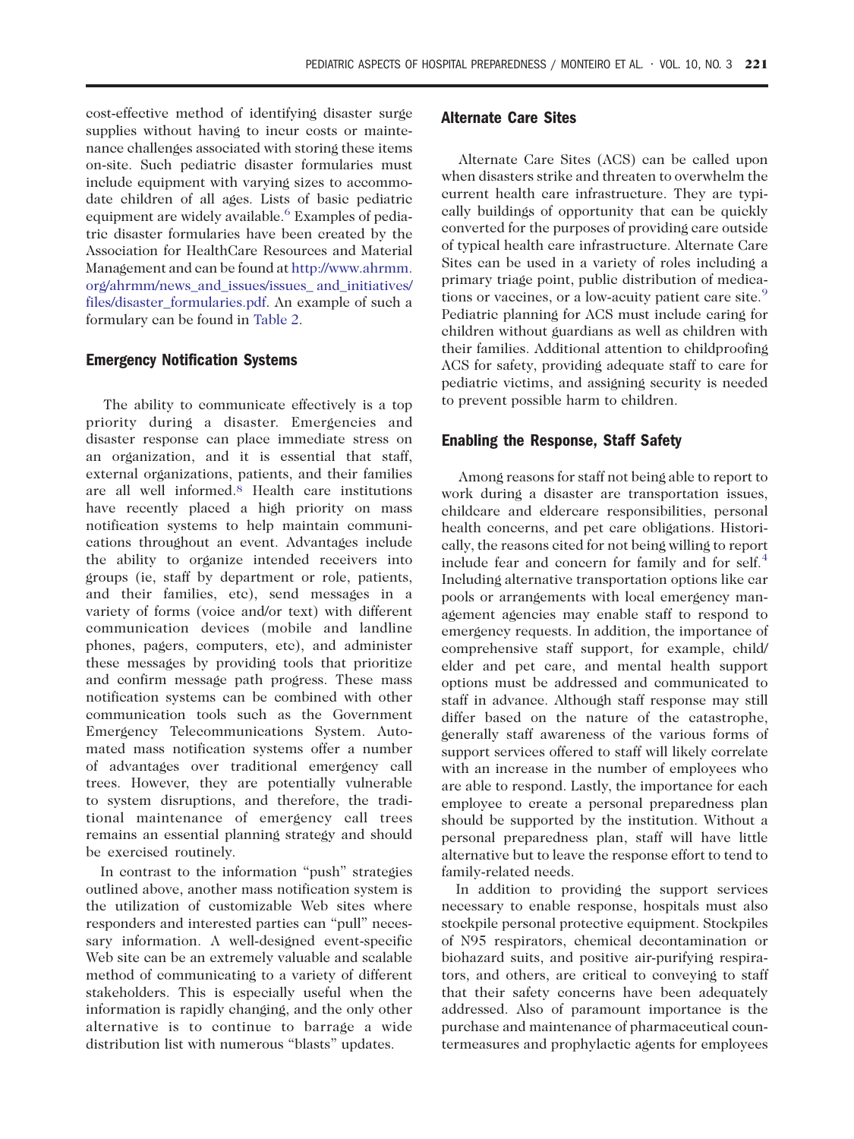cost-effective method of identifying disaster surge supplies without having to incur costs or maintenance challenges associated with storing these items on-site. Such pediatric disaster formularies must include equipment with varying sizes to accommodate children of all ages. Lists of basic pediatric equipment are widely available.<sup>[6](#page-11-0)</sup> Examples of pediatric disaster formularies have been created by the Association for HealthCare Resources and Material Management and can be found at [http://www.ahrmm.](http://www.ahrmm.org/ahrmm/news_and_issues/issues_and_initiatives/files/disaster_formularies.pdf) [org/ahrmm/news\\_and\\_issues/issues\\_ and\\_initiatives/](http://www.ahrmm.org/ahrmm/news_and_issues/issues_and_initiatives/files/disaster_formularies.pdf) [files/disaster\\_formularies.pdf.](http://www.ahrmm.org/ahrmm/news_and_issues/issues_and_initiatives/files/disaster_formularies.pdf) An example of such a formulary can be found in [Table 2.](#page-4-0)

#### Emergency Notification Systems

The ability to communicate effectively is a top priority during a disaster. Emergencies and disaster response can place immediate stress on an organization, and it is essential that staff, external organizations, patients, and their families are all well informed[.8](#page-11-0) Health care institutions have recently placed a high priority on mass notification systems to help maintain communications throughout an event. Advantages include the ability to organize intended receivers into groups (ie, staff by department or role, patients, and their families, etc), send messages in a variety of forms (voice and/or text) with different communication devices (mobile and landline phones, pagers, computers, etc), and administer these messages by providing tools that prioritize and confirm message path progress. These mass notification systems can be combined with other communication tools such as the Government Emergency Telecommunications System. Automated mass notification systems offer a number of advantages over traditional emergency call trees. However, they are potentially vulnerable to system disruptions, and therefore, the traditional maintenance of emergency call trees remains an essential planning strategy and should be exercised routinely.

In contrast to the information "push" strategies outlined above, another mass notification system is the utilization of customizable Web sites where responders and interested parties can "pull" necessary information. A well-designed event-specific Web site can be an extremely valuable and scalable method of communicating to a variety of different stakeholders. This is especially useful when the information is rapidly changing, and the only other alternative is to continue to barrage a wide distribution list with numerous "blasts" updates.

#### Alternate Care Sites

Alternate Care Sites (ACS) can be called upon when disasters strike and threaten to overwhelm the current health care infrastructure. They are typically buildings of opportunity that can be quickly converted for the purposes of providing care outside of typical health care infrastructure. Alternate Care Sites can be used in a variety of roles including a primary triage point, public distribution of medica-tions or vaccines, or a low-acuity patient care site.<sup>[9](#page-11-0)</sup> Pediatric planning for ACS must include caring for children without guardians as well as children with their families. Additional attention to childproofing ACS for safety, providing adequate staff to care for pediatric victims, and assigning security is needed to prevent possible harm to children.

#### Enabling the Response, Staff Safety

Among reasons for staff not being able to report to work during a disaster are transportation issues, childcare and eldercare responsibilities, personal health concerns, and pet care obligations. Historically, the reasons cited for not being willing to report include fear and concern for family and for self. $4$ Including alternative transportation options like car pools or arrangements with local emergency management agencies may enable staff to respond to emergency requests. In addition, the importance of comprehensive staff support, for example, child/ elder and pet care, and mental health support options must be addressed and communicated to staff in advance. Although staff response may still differ based on the nature of the catastrophe, generally staff awareness of the various forms of support services offered to staff will likely correlate with an increase in the number of employees who are able to respond. Lastly, the importance for each employee to create a personal preparedness plan should be supported by the institution. Without a personal preparedness plan, staff will have little alternative but to leave the response effort to tend to family-related needs.

In addition to providing the support services necessary to enable response, hospitals must also stockpile personal protective equipment. Stockpiles of N95 respirators, chemical decontamination or biohazard suits, and positive air-purifying respirators, and others, are critical to conveying to staff that their safety concerns have been adequately addressed. Also of paramount importance is the purchase and maintenance of pharmaceutical countermeasures and prophylactic agents for employees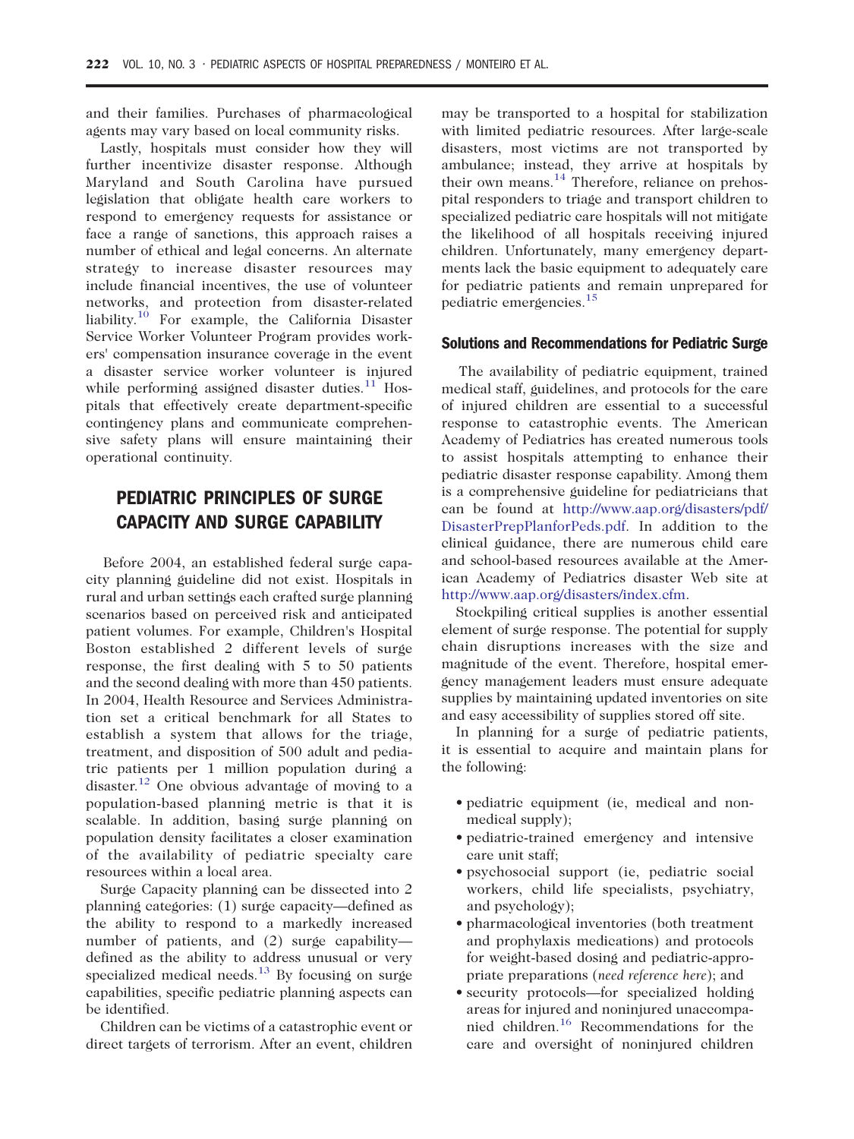and their families. Purchases of pharmacological agents may vary based on local community risks.

Lastly, hospitals must consider how they will further incentivize disaster response. Although Maryland and South Carolina have pursued legislation that obligate health care workers to respond to emergency requests for assistance or face a range of sanctions, this approach raises a number of ethical and legal concerns. An alternate strategy to increase disaster resources may include financial incentives, the use of volunteer networks, and protection from disaster-related liability[.](#page-11-0)<sup>[10](#page-11-0)</sup> For example, the California Disaster Service Worker Volunteer Program provides workers' compensation insurance coverage in the event a disaster service worker volunteer is injured while performing assigned disaster duties. $11$  Hospitals that effectively create department-specific contingency plans and communicate comprehensive safety plans will ensure maintaining their operational continuity.

# PEDIATRIC PRINCIPLES OF SURGE CAPACITY AND SURGE CAPABILITY

Before 2004, an established federal surge capacity planning guideline did not exist. Hospitals in rural and urban settings each crafted surge planning scenarios based on perceived risk and anticipated patient volumes. For example, Children's Hospital Boston established 2 different levels of surge response, the first dealing with 5 to 50 patients and the second dealing with more than 450 patients. In 2004, Health Resource and Services Administration set a critical benchmark for all States to establish a system that allows for the triage, treatment, and disposition of 500 adult and pediatric patients per 1 million population during a disaster.<sup>[12](#page-11-0)</sup> One obvious advantage of moving to a population-based planning metric is that it is scalable. In addition, basing surge planning on population density facilitates a closer examination of the availability of pediatric specialty care resources within a local area.

Surge Capacity planning can be dissected into 2 planning categories: (1) surge capacity—defined as the ability to respond to a markedly increased number of patients, and (2) surge capability defined as the ability to address unusual or very specialized medical needs. $^{13}$  $^{13}$  $^{13}$  By focusing on surge capabilities, specific pediatric planning aspects can be identified.

Children can be victims of a catastrophic event or direct targets of terrorism. After an event, children

may be transported to a hospital for stabilization with limited pediatric resources. After large-scale disasters, most victims are not transported by ambulance; instead, they arrive at hospitals by their own means.<sup>[14](#page-11-0)</sup> Therefore, reliance on prehospital responders to triage and transport children to specialized pediatric care hospitals will not mitigate the likelihood of all hospitals receiving injured children. Unfortunately, many emergency departments lack the basic equipment to adequately care for pediatric patients and remain unprepared for pediatric emergencies.<sup>[15](#page-11-0)</sup>

#### Solutions and Recommendations for Pediatric Surge

The availability of pediatric equipment, trained medical staff, guidelines, and protocols for the care of injured children are essential to a successful response to catastrophic events. The American Academy of Pediatrics has created numerous tools to assist hospitals attempting to enhance their pediatric disaster response capability. Among them is a comprehensive guideline for pediatricians that can be found at [http://www.aap.org/disasters/pdf/](http://www.aap.org/disasters/pdf/DisasterPrepPlanforPeds.pdf) [DisasterPrepPlanforPeds.pdf](http://www.aap.org/disasters/pdf/DisasterPrepPlanforPeds.pdf). In addition to the clinical guidance, there are numerous child care and school-based resources available at the American Academy of Pediatrics disaster Web site at [http://www.aap.org/disasters/index.cfm.](http://www.aap.org/disasters/index.cfm)

Stockpiling critical supplies is another essential element of surge response. The potential for supply chain disruptions increases with the size and magnitude of the event. Therefore, hospital emergency management leaders must ensure adequate supplies by maintaining updated inventories on site and easy accessibility of supplies stored off site.

In planning for a surge of pediatric patients, it is essential to acquire and maintain plans for the following:

- pediatric equipment (ie, medical and nonmedical supply);
- pediatric-trained emergency and intensive care unit staff;
- psychosocial support (ie, pediatric social workers, child life specialists, psychiatry, and psychology);
- pharmacological inventories (both treatment and prophylaxis medications) and protocols for weight-based dosing and pediatric-appropriate preparations (need reference here); and
- security protocols—for specialized holding areas for injured and noninjured unaccompanied children.[16](#page-11-0) Recommendations for the care and oversight of noninjured children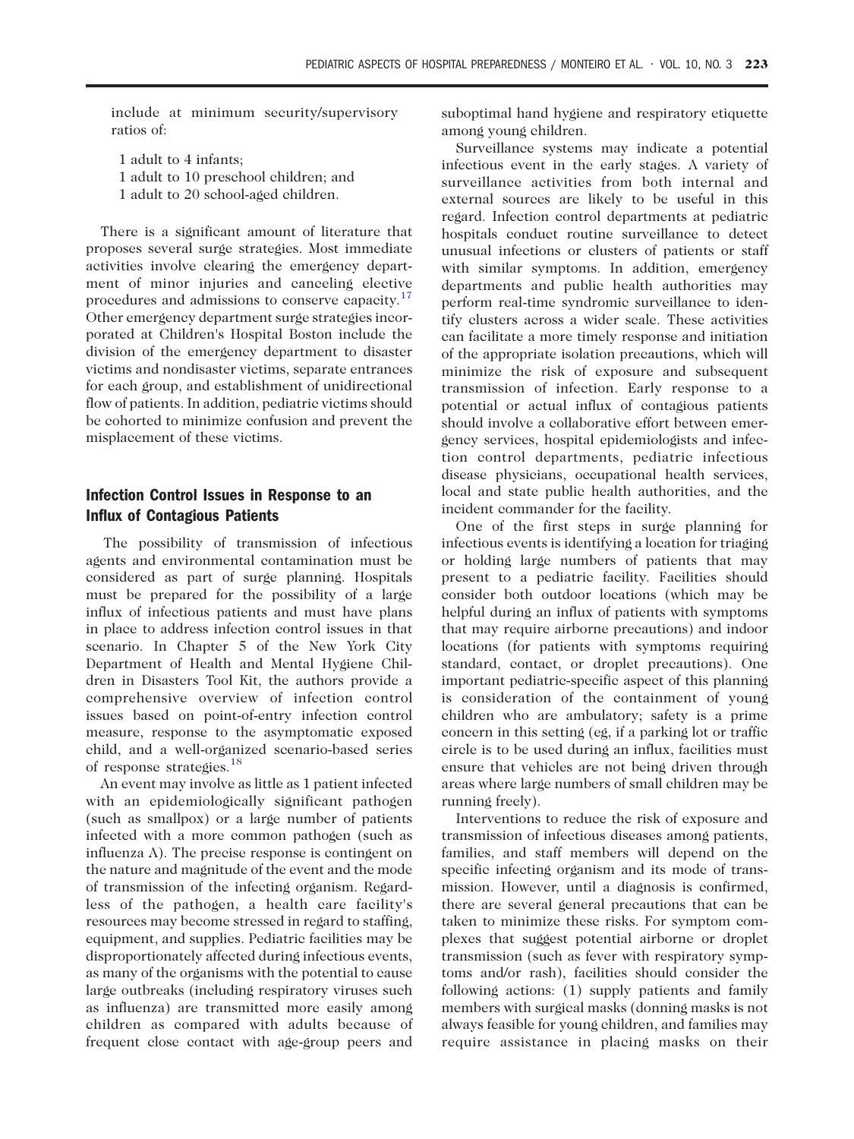include at minimum security/supervisory ratios of:

1 adult to 4 infants; 1 adult to 10 preschool children; and 1 adult to 20 school-aged children.

There is a significant amount of literature that proposes several surge strategies. Most immediate activities involve clearing the emergency department of minor injuries and canceling elective procedures and admissions to conserve capacity.<sup>[17](#page-11-0)</sup> Other emergency department surge strategies incorporated at Children's Hospital Boston include the division of the emergency department to disaster victims and nondisaster victims, separate entrances for each group, and establishment of unidirectional flow of patients. In addition, pediatric victims should be cohorted to minimize confusion and prevent the misplacement of these victims.

## Infection Control Issues in Response to an Influx of Contagious Patients

The possibility of transmission of infectious agents and environmental contamination must be considered as part of surge planning. Hospitals must be prepared for the possibility of a large influx of infectious patients and must have plans in place to address infection control issues in that scenario. In Chapter 5 of the New York City Department of Health and Mental Hygiene Children in Disasters Tool Kit, the authors provide a comprehensive overview of infection control issues based on point-of-entry infection control measure, response to the asymptomatic exposed child, and a well-organized scenario-based series of response strategies.<sup>[18](#page-11-0)</sup>

An event may involve as little as 1 patient infected with an epidemiologically significant pathogen (such as smallpox) or a large number of patients infected with a more common pathogen (such as influenza A). The precise response is contingent on the nature and magnitude of the event and the mode of transmission of the infecting organism. Regardless of the pathogen, a health care facility's resources may become stressed in regard to staffing, equipment, and supplies. Pediatric facilities may be disproportionately affected during infectious events, as many of the organisms with the potential to cause large outbreaks (including respiratory viruses such as influenza) are transmitted more easily among children as compared with adults because of frequent close contact with age-group peers and suboptimal hand hygiene and respiratory etiquette among young children.

Surveillance systems may indicate a potential infectious event in the early stages. A variety of surveillance activities from both internal and external sources are likely to be useful in this regard. Infection control departments at pediatric hospitals conduct routine surveillance to detect unusual infections or clusters of patients or staff with similar symptoms. In addition, emergency departments and public health authorities may perform real-time syndromic surveillance to identify clusters across a wider scale. These activities can facilitate a more timely response and initiation of the appropriate isolation precautions, which will minimize the risk of exposure and subsequent transmission of infection. Early response to a potential or actual influx of contagious patients should involve a collaborative effort between emergency services, hospital epidemiologists and infection control departments, pediatric infectious disease physicians, occupational health services, local and state public health authorities, and the incident commander for the facility.

One of the first steps in surge planning for infectious events is identifying a location for triaging or holding large numbers of patients that may present to a pediatric facility. Facilities should consider both outdoor locations (which may be helpful during an influx of patients with symptoms that may require airborne precautions) and indoor locations (for patients with symptoms requiring standard, contact, or droplet precautions). One important pediatric-specific aspect of this planning is consideration of the containment of young children who are ambulatory; safety is a prime concern in this setting (eg, if a parking lot or traffic circle is to be used during an influx, facilities must ensure that vehicles are not being driven through areas where large numbers of small children may be running freely).

Interventions to reduce the risk of exposure and transmission of infectious diseases among patients, families, and staff members will depend on the specific infecting organism and its mode of transmission. However, until a diagnosis is confirmed, there are several general precautions that can be taken to minimize these risks. For symptom complexes that suggest potential airborne or droplet transmission (such as fever with respiratory symptoms and/or rash), facilities should consider the following actions: (1) supply patients and family members with surgical masks (donning masks is not always feasible for young children, and families may require assistance in placing masks on their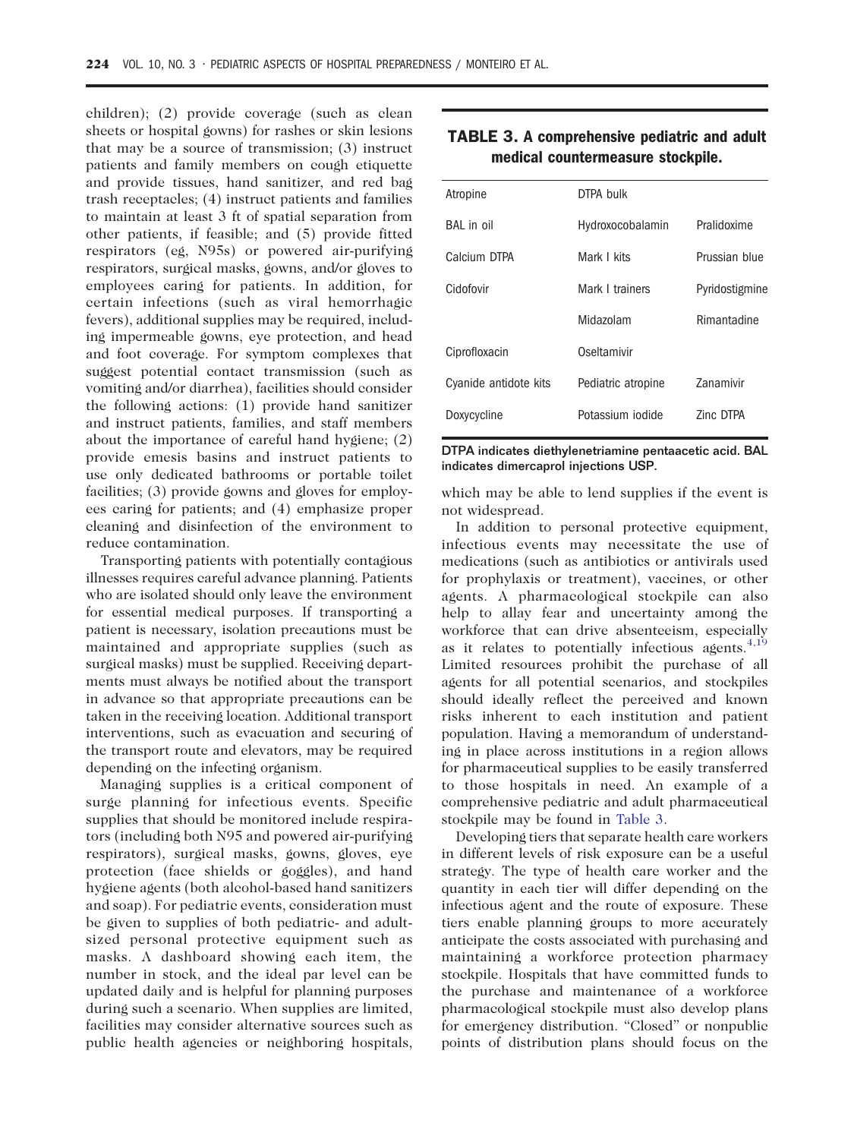children); (2) provide coverage (such as clean sheets or hospital gowns) for rashes or skin lesions that may be a source of transmission; (3) instruct patients and family members on cough etiquette and provide tissues, hand sanitizer, and red bag trash receptacles; (4) instruct patients and families to maintain at least 3 ft of spatial separation from other patients, if feasible; and (5) provide fitted respirators (eg, N95s) or powered air-purifying respirators, surgical masks, gowns, and/or gloves to employees caring for patients. In addition, for certain infections (such as viral hemorrhagic fevers), additional supplies may be required, including impermeable gowns, eye protection, and head and foot coverage. For symptom complexes that suggest potential contact transmission (such as vomiting and/or diarrhea), facilities should consider the following actions: (1) provide hand sanitizer and instruct patients, families, and staff members about the importance of careful hand hygiene; (2) provide emesis basins and instruct patients to use only dedicated bathrooms or portable toilet facilities; (3) provide gowns and gloves for employees caring for patients; and (4) emphasize proper cleaning and disinfection of the environment to reduce contamination.

Transporting patients with potentially contagious illnesses requires careful advance planning. Patients who are isolated should only leave the environment for essential medical purposes. If transporting a patient is necessary, isolation precautions must be maintained and appropriate supplies (such as surgical masks) must be supplied. Receiving departments must always be notified about the transport in advance so that appropriate precautions can be taken in the receiving location. Additional transport interventions, such as evacuation and securing of the transport route and elevators, may be required depending on the infecting organism.

Managing supplies is a critical component of surge planning for infectious events. Specific supplies that should be monitored include respirators (including both N95 and powered air-purifying respirators), surgical masks, gowns, gloves, eye protection (face shields or goggles), and hand hygiene agents (both alcohol-based hand sanitizers and soap). For pediatric events, consideration must be given to supplies of both pediatric- and adultsized personal protective equipment such as masks. A dashboard showing each item, the number in stock, and the ideal par level can be updated daily and is helpful for planning purposes during such a scenario. When supplies are limited, facilities may consider alternative sources such as public health agencies or neighboring hospitals,

| <b>TABLE 3. A comprehensive pediatric and adult</b> |  |  |
|-----------------------------------------------------|--|--|
| medical countermeasure stockpile.                   |  |  |

| Atropine              | DTPA bulk          |                  |
|-----------------------|--------------------|------------------|
| BAL in oil            | Hydroxocobalamin   | Pralidoxime      |
| Calcium DTPA          | Mark I kits        | Prussian blue    |
| Cidofovir             | Mark I trainers    | Pyridostigmine   |
|                       | Midazolam          | Rimantadine      |
| Ciprofloxacin         | Oseltamivir        |                  |
| Cyanide antidote kits | Pediatric atropine | Zanamivir        |
| Doxycycline           | Potassium iodide   | <b>Zinc DTPA</b> |

DTPA indicates diethylenetriamine pentaacetic acid. BAL indicates dimercaprol injections USP.

which may be able to lend supplies if the event is not widespread.

In addition to personal protective equipment, infectious events may necessitate the use of medications (such as antibiotics or antivirals used for prophylaxis or treatment), vaccines, or other agents. A pharmacological stockpile can also help to allay fear and uncertainty among the workforce that can drive absenteeism, especially as it relates to potentially infectious agents[.](#page-11-0) $4,19$ Limited resources prohibit the purchase of all agents for all potential scenarios, and stockpiles should ideally reflect the perceived and known risks inherent to each institution and patient population. Having a memorandum of understanding in place across institutions in a region allows for pharmaceutical supplies to be easily transferred to those hospitals in need. An example of a comprehensive pediatric and adult pharmaceutical stockpile may be found in Table 3.

Developing tiers that separate health care workers in different levels of risk exposure can be a useful strategy. The type of health care worker and the quantity in each tier will differ depending on the infectious agent and the route of exposure. These tiers enable planning groups to more accurately anticipate the costs associated with purchasing and maintaining a workforce protection pharmacy stockpile. Hospitals that have committed funds to the purchase and maintenance of a workforce pharmacological stockpile must also develop plans for emergency distribution. "Closed" or nonpublic points of distribution plans should focus on the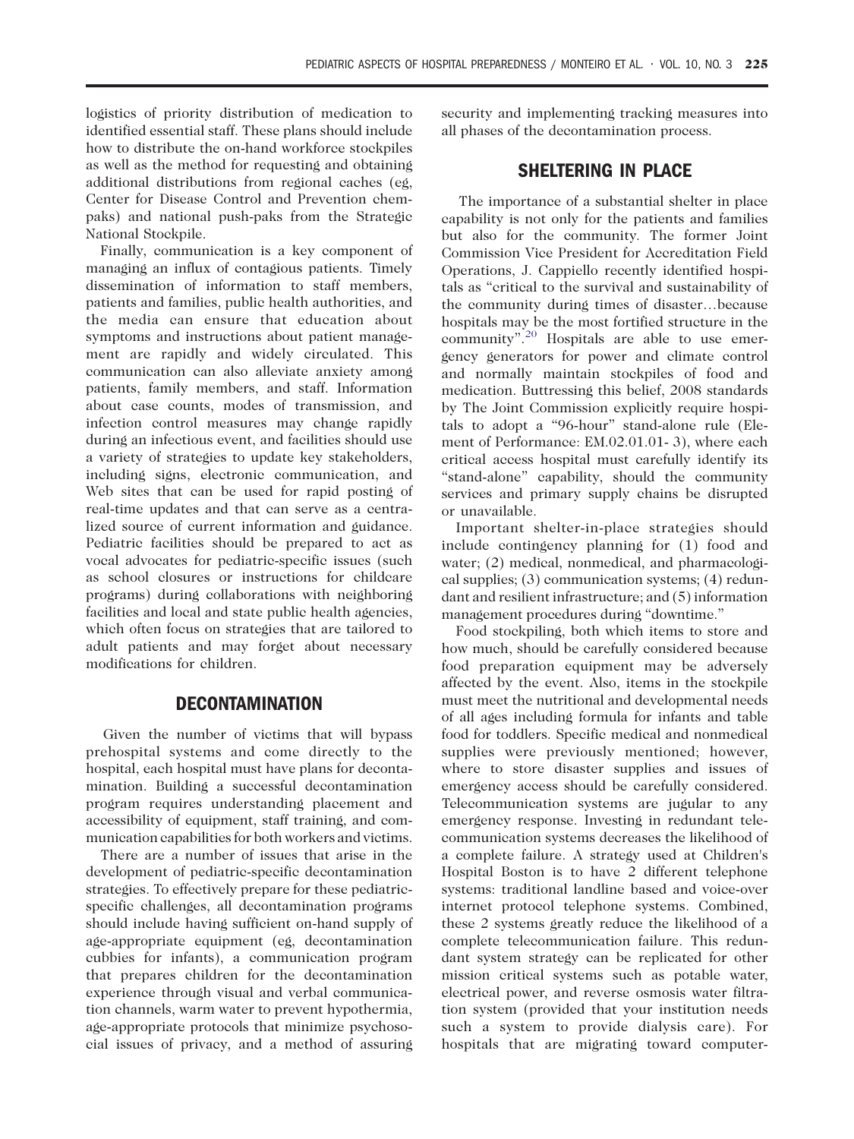logistics of priority distribution of medication to identified essential staff. These plans should include how to distribute the on-hand workforce stockpiles as well as the method for requesting and obtaining additional distributions from regional caches (eg, Center for Disease Control and Prevention chempaks) and national push-paks from the Strategic National Stockpile.

Finally, communication is a key component of managing an influx of contagious patients. Timely dissemination of information to staff members, patients and families, public health authorities, and the media can ensure that education about symptoms and instructions about patient management are rapidly and widely circulated. This communication can also alleviate anxiety among patients, family members, and staff. Information about case counts, modes of transmission, and infection control measures may change rapidly during an infectious event, and facilities should use a variety of strategies to update key stakeholders, including signs, electronic communication, and Web sites that can be used for rapid posting of real-time updates and that can serve as a centralized source of current information and guidance. Pediatric facilities should be prepared to act as vocal advocates for pediatric-specific issues (such as school closures or instructions for childcare programs) during collaborations with neighboring facilities and local and state public health agencies, which often focus on strategies that are tailored to adult patients and may forget about necessary modifications for children.

## DECONTAMINATION

Given the number of victims that will bypass prehospital systems and come directly to the hospital, each hospital must have plans for decontamination. Building a successful decontamination program requires understanding placement and accessibility of equipment, staff training, and communication capabilities for both workers and victims.

There are a number of issues that arise in the development of pediatric-specific decontamination strategies. To effectively prepare for these pediatricspecific challenges, all decontamination programs should include having sufficient on-hand supply of age-appropriate equipment (eg, decontamination cubbies for infants), a communication program that prepares children for the decontamination experience through visual and verbal communication channels, warm water to prevent hypothermia, age-appropriate protocols that minimize psychosocial issues of privacy, and a method of assuring security and implementing tracking measures into all phases of the decontamination process.

## SHELTERING IN PLACE

The importance of a substantial shelter in place capability is not only for the patients and families but also for the community. The former Joint Commission Vice President for Accreditation Field Operations, J. Cappiello recently identified hospitals as "critical to the survival and sustainability of the community during times of disaster…because hospitals may be the most fortified structure in the community".<sup>[20](#page-12-0)</sup> Hospitals are able to use emergency generators for power and climate control and normally maintain stockpiles of food and medication. Buttressing this belief, 2008 standards by The Joint Commission explicitly require hospitals to adopt a "96-hour" stand-alone rule (Element of Performance: EM.02.01.01- 3), where each critical access hospital must carefully identify its "stand-alone" capability, should the community services and primary supply chains be disrupted or unavailable.

Important shelter-in-place strategies should include contingency planning for (1) food and water; (2) medical, nonmedical, and pharmacological supplies; (3) communication systems; (4) redundant and resilient infrastructure; and (5) information management procedures during "downtime."

Food stockpiling, both which items to store and how much, should be carefully considered because food preparation equipment may be adversely affected by the event. Also, items in the stockpile must meet the nutritional and developmental needs of all ages including formula for infants and table food for toddlers. Specific medical and nonmedical supplies were previously mentioned; however, where to store disaster supplies and issues of emergency access should be carefully considered. Telecommunication systems are jugular to any emergency response. Investing in redundant telecommunication systems decreases the likelihood of a complete failure. A strategy used at Children's Hospital Boston is to have 2 different telephone systems: traditional landline based and voice-over internet protocol telephone systems. Combined, these 2 systems greatly reduce the likelihood of a complete telecommunication failure. This redundant system strategy can be replicated for other mission critical systems such as potable water, electrical power, and reverse osmosis water filtration system (provided that your institution needs such a system to provide dialysis care). For hospitals that are migrating toward computer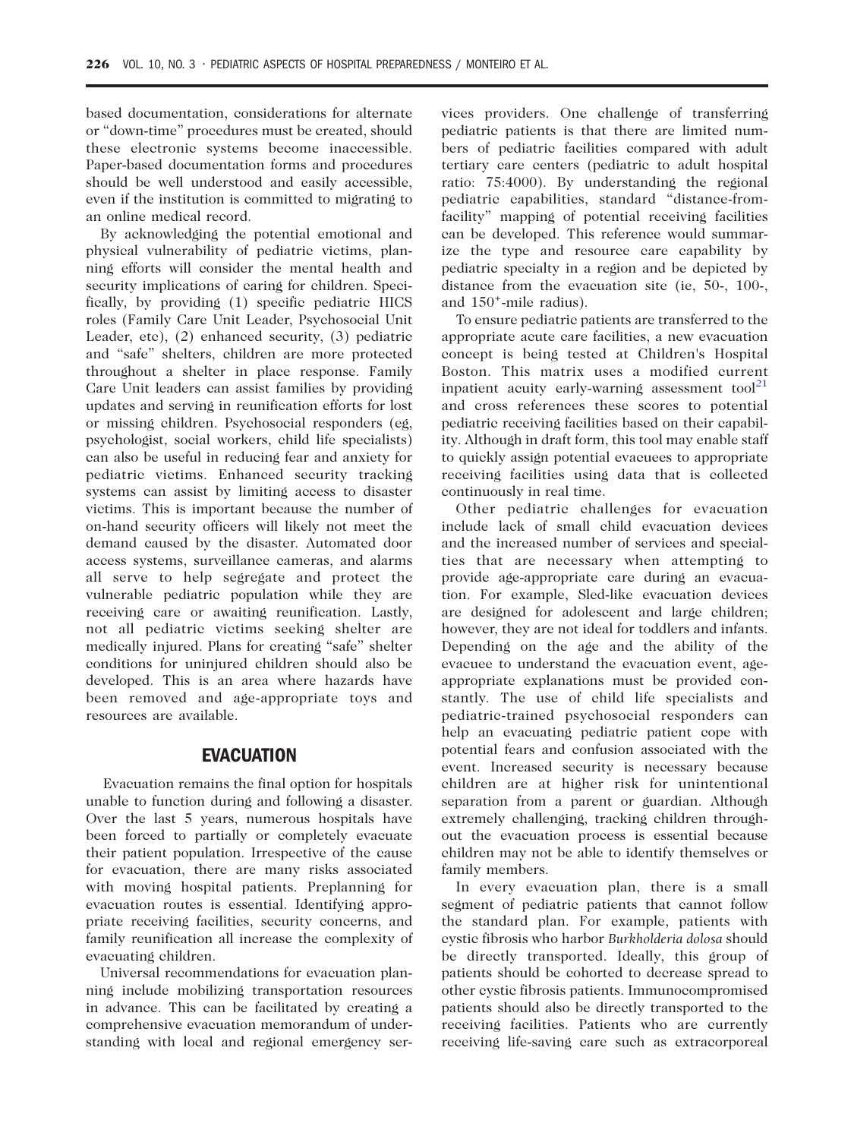based documentation, considerations for alternate or "down-time" procedures must be created, should these electronic systems become inaccessible. Paper-based documentation forms and procedures should be well understood and easily accessible, even if the institution is committed to migrating to an online medical record.

By acknowledging the potential emotional and physical vulnerability of pediatric victims, planning efforts will consider the mental health and security implications of caring for children. Specifically, by providing (1) specific pediatric HICS roles (Family Care Unit Leader, Psychosocial Unit Leader, etc), (2) enhanced security, (3) pediatric and "safe" shelters, children are more protected throughout a shelter in place response. Family Care Unit leaders can assist families by providing updates and serving in reunification efforts for lost or missing children. Psychosocial responders (eg, psychologist, social workers, child life specialists) can also be useful in reducing fear and anxiety for pediatric victims. Enhanced security tracking systems can assist by limiting access to disaster victims. This is important because the number of on-hand security officers will likely not meet the demand caused by the disaster. Automated door access systems, surveillance cameras, and alarms all serve to help segregate and protect the vulnerable pediatric population while they are receiving care or awaiting reunification. Lastly, not all pediatric victims seeking shelter are medically injured. Plans for creating "safe" shelter conditions for uninjured children should also be developed. This is an area where hazards have been removed and age-appropriate toys and resources are available.

## **EVACUATION**

Evacuation remains the final option for hospitals unable to function during and following a disaster. Over the last 5 years, numerous hospitals have been forced to partially or completely evacuate their patient population. Irrespective of the cause for evacuation, there are many risks associated with moving hospital patients. Preplanning for evacuation routes is essential. Identifying appropriate receiving facilities, security concerns, and family reunification all increase the complexity of evacuating children.

Universal recommendations for evacuation planning include mobilizing transportation resources in advance. This can be facilitated by creating a comprehensive evacuation memorandum of understanding with local and regional emergency services providers. One challenge of transferring pediatric patients is that there are limited numbers of pediatric facilities compared with adult tertiary care centers (pediatric to adult hospital ratio: 75:4000). By understanding the regional pediatric capabilities, standard "distance-fromfacility" mapping of potential receiving facilities can be developed. This reference would summarize the type and resource care capability by pediatric specialty in a region and be depicted by distance from the evacuation site (ie, 50-, 100-, and 150<sup>+</sup> -mile radius).

To ensure pediatric patients are transferred to the appropriate acute care facilities, a new evacuation concept is being tested at Children's Hospital Boston. This matrix uses a modified current inpatient acuity early-warning assessment tool<sup>[21](#page-12-0)</sup> and cross references these scores to potential pediatric receiving facilities based on their capability. Although in draft form, this tool may enable staff to quickly assign potential evacuees to appropriate receiving facilities using data that is collected continuously in real time.

Other pediatric challenges for evacuation include lack of small child evacuation devices and the increased number of services and specialties that are necessary when attempting to provide age-appropriate care during an evacuation. For example, Sled-like evacuation devices are designed for adolescent and large children; however, they are not ideal for toddlers and infants. Depending on the age and the ability of the evacuee to understand the evacuation event, ageappropriate explanations must be provided constantly. The use of child life specialists and pediatric-trained psychosocial responders can help an evacuating pediatric patient cope with potential fears and confusion associated with the event. Increased security is necessary because children are at higher risk for unintentional separation from a parent or guardian. Although extremely challenging, tracking children throughout the evacuation process is essential because children may not be able to identify themselves or family members.

In every evacuation plan, there is a small segment of pediatric patients that cannot follow the standard plan. For example, patients with cystic fibrosis who harbor Burkholderia dolosa should be directly transported. Ideally, this group of patients should be cohorted to decrease spread to other cystic fibrosis patients. Immunocompromised patients should also be directly transported to the receiving facilities. Patients who are currently receiving life-saving care such as extracorporeal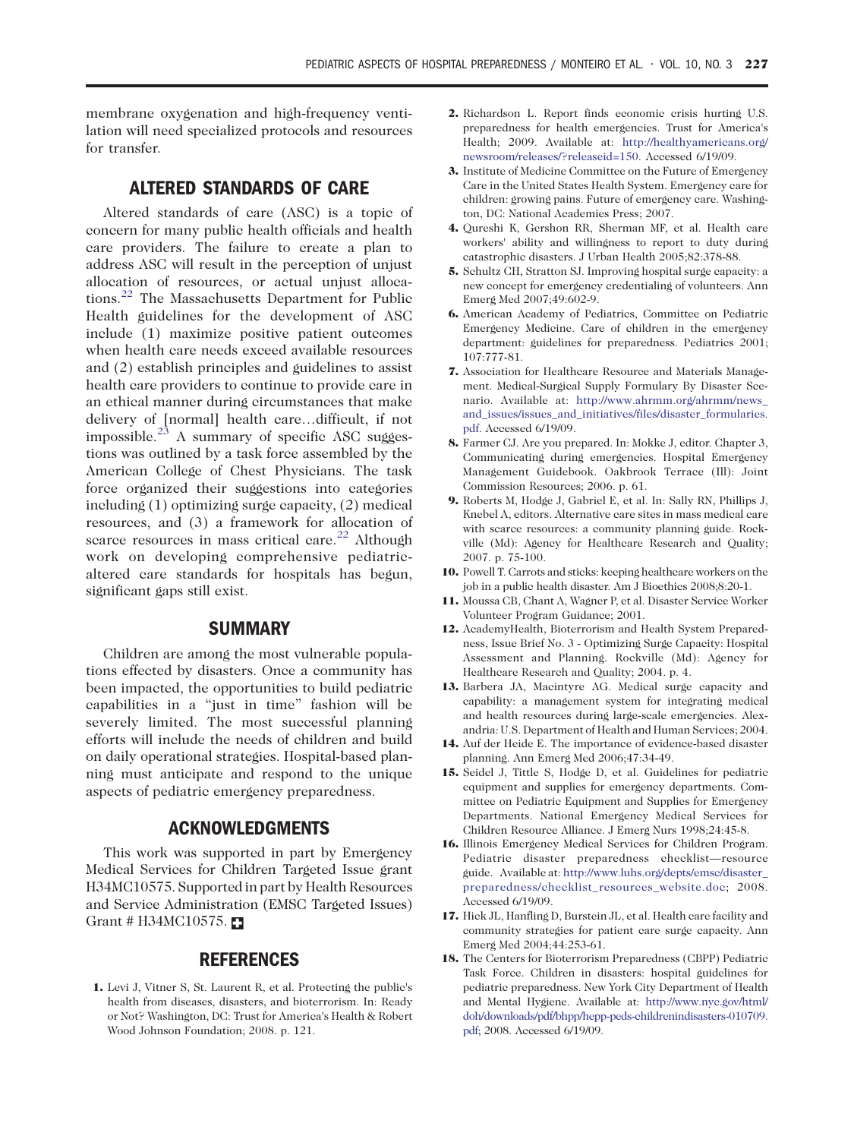<span id="page-11-0"></span>membrane oxygenation and high-frequency ventilation will need specialized protocols and resources for transfer.

## ALTERED STANDARDS OF CARE

Altered standards of care (ASC) is a topic of concern for many public health officials and health care providers. The failure to create a plan to address ASC will result in the perception of unjust allocation of resources, or actual unjust allocations.[22](#page-12-0) The Massachusetts Department for Public Health guidelines for the development of ASC include (1) maximize positive patient outcomes when health care needs exceed available resources and (2) establish principles and guidelines to assist health care providers to continue to provide care in an ethical manner during circumstances that make delivery of [normal] health care…difficult, if not impossible.<sup>[23](#page-12-0)</sup> A summary of specific ASC suggestions was outlined by a task force assembled by the American College of Chest Physicians. The task force organized their suggestions into categories including (1) optimizing surge capacity, (2) medical resources, and (3) a framework for allocation of scarce resources in mass critical care.<sup>[22](#page-12-0)</sup> Although work on developing comprehensive pediatricaltered care standards for hospitals has begun, significant gaps still exist.

## **SUMMARY**

Children are among the most vulnerable populations effected by disasters. Once a community has been impacted, the opportunities to build pediatric capabilities in a "just in time" fashion will be severely limited. The most successful planning efforts will include the needs of children and build on daily operational strategies. Hospital-based planning must anticipate and respond to the unique aspects of pediatric emergency preparedness.

## ACKNOWLEDGMENTS

This work was supported in part by Emergency Medical Services for Children Targeted Issue grant H34MC10575. Supported in part by Health Resources and Service Administration (EMSC Targeted Issues) Grant # H34MC10575.

### REFERENCES

1. Levi J, Vitner S, St. Laurent R, et al. Protecting the public's health from diseases, disasters, and bioterrorism. In: Ready or Not? Washington, DC: Trust for America's Health & Robert Wood Johnson Foundation; 2008. p. 121.

- 2. Richardson L. Report finds economic crisis hurting U.S. preparedness for health emergencies. Trust for America's Health; 2009. Available at: [http://healthyamericans.org/](http://healthyamericans.org/newsroom/releases/?releaseid=150) [newsroom/releases/?releaseid=150.](http://healthyamericans.org/newsroom/releases/?releaseid=150) Accessed 6/19/09.
- 3. Institute of Medicine Committee on the Future of Emergency Care in the United States Health System. Emergency care for children: growing pains. Future of emergency care. Washington, DC: National Academies Press; 2007.
- 4. Qureshi K, Gershon RR, Sherman MF, et al. Health care workers' ability and willingness to report to duty during catastrophic disasters. J Urban Health 2005;82:378-88.
- 5. Schultz CH, Stratton SJ. Improving hospital surge capacity: a new concept for emergency credentialing of volunteers. Ann Emerg Med 2007;49:602-9.
- 6. American Academy of Pediatrics, Committee on Pediatric Emergency Medicine. Care of children in the emergency department: guidelines for preparedness. Pediatrics 2001; 107:777-81.
- 7. Association for Healthcare Resource and Materials Management. Medical-Surgical Supply Formulary By Disaster Scenario. Available at: [http://www.ahrmm.org/ahrmm/news\\_](http://www.ahrmm.org/ahrmm/news_and_issues/issues_and_initiatives/files/disaster_formularies.pdf) [and\\_issues/issues\\_and\\_initiatives/files/disaster\\_formularies.](http://www.ahrmm.org/ahrmm/news_and_issues/issues_and_initiatives/files/disaster_formularies.pdf) [pdf](http://www.ahrmm.org/ahrmm/news_and_issues/issues_and_initiatives/files/disaster_formularies.pdf). Accessed 6/19/09.
- 8. Farmer CJ. Are you prepared. In: Mokke J, editor. Chapter 3, Communicating during emergencies. Hospital Emergency Management Guidebook. Oakbrook Terrace (Ill): Joint Commission Resources; 2006. p. 61.
- 9. Roberts M, Hodge J, Gabriel E, et al. In: Sally RN, Phillips J, Knebel A, editors. Alternative care sites in mass medical care with scarce resources: a community planning guide. Rockville (Md): Agency for Healthcare Research and Quality; 2007. p. 75-100.
- 10. Powell T. Carrots and sticks: keeping healthcare workers on the job in a public health disaster. Am J Bioethics 2008;8:20-1.
- 11. Moussa CB, Chant A, Wagner P, et al. Disaster Service Worker Volunteer Program Guidance; 2001.
- 12. AcademyHealth, Bioterrorism and Health System Preparedness, Issue Brief No. 3 - Optimizing Surge Capacity: Hospital Assessment and Planning. Rockville (Md): Agency for Healthcare Research and Quality; 2004. p. 4.
- 13. Barbera JA, Macintyre AG. Medical surge capacity and capability: a management system for integrating medical and health resources during large-scale emergencies. Alexandria: U.S. Department of Health and Human Services; 2004.
- 14. Auf der Heide E. The importance of evidence-based disaster planning. Ann Emerg Med 2006;47:34-49.
- 15. Seidel J, Tittle S, Hodge D, et al. Guidelines for pediatric equipment and supplies for emergency departments. Committee on Pediatric Equipment and Supplies for Emergency Departments. National Emergency Medical Services for Children Resource Alliance. J Emerg Nurs 1998;24:45-8.
- 16. Illinois Emergency Medical Services for Children Program. Pediatric disaster preparedness checklist—resource guide. Available at: [http://www.luhs.org/depts/emsc/disaster\\_](http://www.luhs.org/depts/emsc/disaster_preparedness/checklist_resources_website.doc) [preparedness/checklist\\_resources\\_website.doc;](http://www.luhs.org/depts/emsc/disaster_preparedness/checklist_resources_website.doc) 2008. Accessed 6/19/09.
- 17. Hick JL, Hanfling D, Burstein JL, et al. Health care facility and community strategies for patient care surge capacity. Ann Emerg Med 2004;44:253-61.
- 18. The Centers for Bioterrorism Preparedness (CBPP) Pediatric Task Force. Children in disasters: hospital guidelines for pediatric preparedness. New York City Department of Health and Mental Hygiene. Available at: [http://www.nyc.gov/html/](http://www.nyc.gov/html/doh/downloads/pdf/bhpp/hepp-peds-childrenindisasters-010709.pdf) [doh/downloads/pdf/bhpp/hepp-peds-childrenindisasters-010709.](http://www.nyc.gov/html/doh/downloads/pdf/bhpp/hepp-peds-childrenindisasters-010709.pdf) [pdf;](http://www.nyc.gov/html/doh/downloads/pdf/bhpp/hepp-peds-childrenindisasters-010709.pdf) 2008. Accessed 6/19/09.